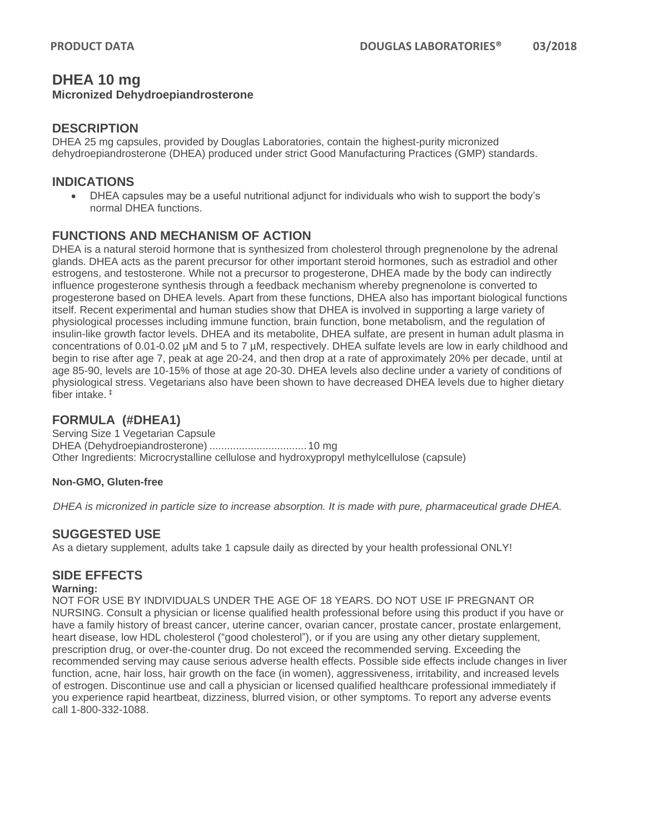# **DHEA 10 mg**

#### **Micronized Dehydroepiandrosterone**

### **DESCRIPTION**

DHEA 25 mg capsules, provided by Douglas Laboratories, contain the highest-purity micronized dehydroepiandrosterone (DHEA) produced under strict Good Manufacturing Practices (GMP) standards.

### **INDICATIONS**

• DHEA capsules may be a useful nutritional adjunct for individuals who wish to support the body's normal DHEA functions.

# **FUNCTIONS AND MECHANISM OF ACTION**

DHEA is a natural steroid hormone that is synthesized from cholesterol through pregnenolone by the adrenal glands. DHEA acts as the parent precursor for other important steroid hormones, such as estradiol and other estrogens, and testosterone. While not a precursor to progesterone, DHEA made by the body can indirectly influence progesterone synthesis through a feedback mechanism whereby pregnenolone is converted to progesterone based on DHEA levels. Apart from these functions, DHEA also has important biological functions itself. Recent experimental and human studies show that DHEA is involved in supporting a large variety of physiological processes including immune function, brain function, bone metabolism, and the regulation of insulin-like growth factor levels. DHEA and its metabolite, DHEA sulfate, are present in human adult plasma in concentrations of 0.01-0.02 µM and 5 to 7 µM, respectively. DHEA sulfate levels are low in early childhood and begin to rise after age 7, peak at age 20-24, and then drop at a rate of approximately 20% per decade, until at age 85-90, levels are 10-15% of those at age 20-30. DHEA levels also decline under a variety of conditions of physiological stress. Vegetarians also have been shown to have decreased DHEA levels due to higher dietary fiber intake. ‡

# **FORMULA (#DHEA1)**

Serving Size 1 Vegetarian Capsule DHEA (Dehydroepiandrosterone) .................................10 mg Other Ingredients: Microcrystalline cellulose and hydroxypropyl methylcellulose (capsule)

#### **Non-GMO, Gluten-free**

*DHEA is micronized in particle size to increase absorption. It is made with pure, pharmaceutical grade DHEA.*

# **SUGGESTED USE**

As a dietary supplement, adults take 1 capsule daily as directed by your health professional ONLY!

# **SIDE EFFECTS**

#### **Warning:**

NOT FOR USE BY INDIVIDUALS UNDER THE AGE OF 18 YEARS. DO NOT USE IF PREGNANT OR NURSING. Consult a physician or license qualified health professional before using this product if you have or have a family history of breast cancer, uterine cancer, ovarian cancer, prostate cancer, prostate enlargement, heart disease, low HDL cholesterol ("good cholesterol"), or if you are using any other dietary supplement, prescription drug, or over-the-counter drug. Do not exceed the recommended serving. Exceeding the recommended serving may cause serious adverse health effects. Possible side effects include changes in liver function, acne, hair loss, hair growth on the face (in women), aggressiveness, irritability, and increased levels of estrogen. Discontinue use and call a physician or licensed qualified healthcare professional immediately if you experience rapid heartbeat, dizziness, blurred vision, or other symptoms. To report any adverse events call 1-800-332-1088.